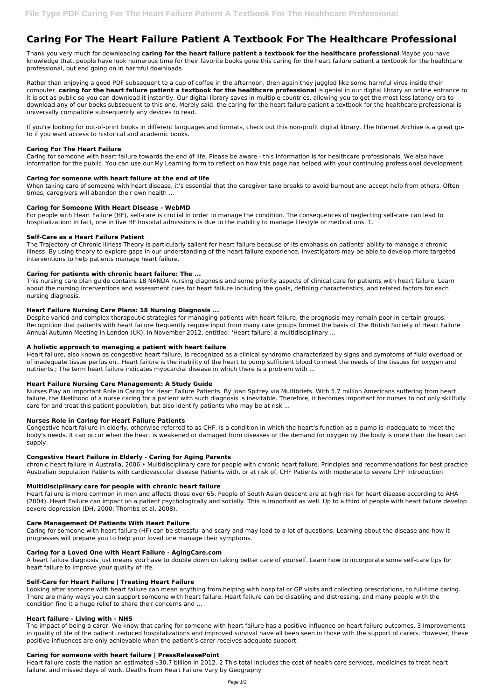# **Caring For The Heart Failure Patient A Textbook For The Healthcare Professional**

Thank you very much for downloading **caring for the heart failure patient a textbook for the healthcare professional**.Maybe you have knowledge that, people have look numerous time for their favorite books gone this caring for the heart failure patient a textbook for the healthcare professional, but end going on in harmful downloads.

Rather than enjoying a good PDF subsequent to a cup of coffee in the afternoon, then again they juggled like some harmful virus inside their computer. **caring for the heart failure patient a textbook for the healthcare professional** is genial in our digital library an online entrance to it is set as public so you can download it instantly. Our digital library saves in multiple countries, allowing you to get the most less latency era to download any of our books subsequent to this one. Merely said, the caring for the heart failure patient a textbook for the healthcare professional is universally compatible subsequently any devices to read.

If you're looking for out-of-print books in different languages and formats, check out this non-profit digital library. The Internet Archive is a great goto if you want access to historical and academic books.

# **Caring For The Heart Failure**

Caring for someone with heart failure towards the end of life. Please be aware - this information is for healthcare professionals. We also have information for the public. You can use our My Learning form to reflect on how this page has helped with your continuing professional development.

# **Caring for someone with heart failure at the end of life**

When taking care of someone with heart disease, it's essential that the caregiver take breaks to avoid burnout and accept help from others. Often times, caregivers will abandon their own health ...

## **Caring for Someone With Heart Disease - WebMD**

For people with Heart Failure (HF), self-care is crucial in order to manage the condition. The consequences of neglecting self-care can lead to hospitalization: in fact, one in five HF hospital admissions is due to the inability to manage lifestyle or medications. 1.

## **Self-Care as a Heart Failure Patient**

The Trajectory of Chronic Illness Theory is particularly salient for heart failure because of its emphasis on patients' ability to manage a chronic illness. By using theory to explore gaps in our understanding of the heart failure experience, investigators may be able to develop more targeted interventions to help patients manage heart failure.

## **Caring for patients with chronic heart failure: The ...**

This nursing care plan guide contains 18 NANDA nursing diagnosis and some priority aspects of clinical care for patients with heart failure. Learn about the nursing interventions and assessment cues for heart failure including the goals, defining characteristics, and related factors for each nursing diagnosis.

## **Heart Failure Nursing Care Plans: 18 Nursing Diagnosis ...**

Despite varied and complex therapeutic strategies for managing patients with heart failure, the prognosis may remain poor in certain groups. Recognition that patients with heart failure frequently require input from many care groups formed the basis of The British Society of Heart Failure Annual Autumn Meeting in London (UK), in November 2012, entitled: 'Heart failure: a multidisciplinary ...

## **A holistic approach to managing a patient with heart failure**

Heart failure, also known as congestive heart failure, is recognized as a clinical syndrome characterized by signs and symptoms of fluid overload or of inadequate tissue perfusion.. Heart failure is the inability of the heart to pump sufficient blood to meet the needs of the tissues for oxygen and nutrients.; The term heart failure indicates myocardial disease in which there is a problem with ...

## **Heart Failure Nursing Care Management: A Study Guide**

Nurses Play an Important Role in Caring for Heart Failure Patients. By Joan Spitrey via Multibriefs. With 5.7 million Americans suffering from heart failure, the likelihood of a nurse caring for a patient with such diagnosis is inevitable. Therefore, it becomes important for nurses to not only skillfully care for and treat this patient population, but also identify patients who may be at risk ...

## **Nurses Role in Caring for Heart Failure Patients**

Congestive heart failure in elderly, otherwise referred to as CHF, is a condition in which the heart's function as a pump is inadequate to meet the body's needs. It can occur when the heart is weakened or damaged from diseases or the demand for oxygen by the body is more than the heart can supply.

## **Congestive Heart Failure in Elderly - Caring for Aging Parents**

chronic heart failure in Australia, 2006 • Multidisciplinary care for people with chronic heart failure. Principles and recommendations for best practice Australian population Patients with cardiovascular disease Patients with, or at risk of, CHF Patients with moderate to severe CHF Introduction

## **Multidisciplinary care for people with chronic heart failure**

Heart failure is more common in men and affects those over 65, People of South Asian descent are at high risk for heart disease according to AHA (2004). Heart Failure can impact on a patient psychologically and socially. This is important as well. Up to a third of people with heart failure develop severe depression (DH, 2000; Thombs et al, 2008).

## **Care Management Of Patients With Heart Failure**

Caring for someone with heart failure (HF) can be stressful and scary and may lead to a lot of questions. Learning about the disease and how it progresses will prepare you to help your loved one manage their symptoms.

## **Caring for a Loved One with Heart Failure - AgingCare.com**

A heart failure diagnosis just means you have to double down on taking better care of yourself. Learn how to incorporate some self-care tips for heart failure to improve your quality of life.

#### **Self-Care for Heart Failure | Treating Heart Failure**

Looking after someone with heart failure can mean anything from helping with hospital or GP visits and collecting prescriptions, to full-time caring. There are many ways you can support someone with heart failure. Heart failure can be disabling and distressing, and many people with the condition find it a huge relief to share their concerns and ...

## **Heart failure - Living with - NHS**

The impact of being a carer. We know that caring for someone with heart failure has a positive influence on heart failure outcomes. 3 Improvements in quality of life of the patient, reduced hospitalizations and improved survival have all been seen in those with the support of carers. However, these positive influences are only achievable when the patient's carer receives adequate support.

#### **Caring for someone with heart failure | PressReleasePoint**

Heart failure costs the nation an estimated \$30.7 billion in 2012. 2 This total includes the cost of health care services, medicines to treat heart failure, and missed days of work. Deaths from Heart Failure Vary by Geography